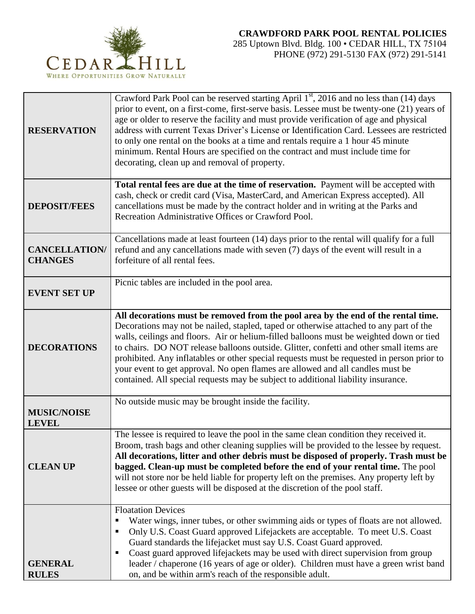

| <b>RESERVATION</b>                     | Crawford Park Pool can be reserved starting April 1 <sup>st</sup> , 2016 and no less than (14) days<br>prior to event, on a first-come, first-serve basis. Lessee must be twenty-one (21) years of<br>age or older to reserve the facility and must provide verification of age and physical<br>address with current Texas Driver's License or Identification Card. Lessees are restricted<br>to only one rental on the books at a time and rentals require a 1 hour 45 minute<br>minimum. Rental Hours are specified on the contract and must include time for<br>decorating, clean up and removal of property.                       |
|----------------------------------------|----------------------------------------------------------------------------------------------------------------------------------------------------------------------------------------------------------------------------------------------------------------------------------------------------------------------------------------------------------------------------------------------------------------------------------------------------------------------------------------------------------------------------------------------------------------------------------------------------------------------------------------|
| <b>DEPOSIT/FEES</b>                    | Total rental fees are due at the time of reservation. Payment will be accepted with<br>cash, check or credit card (Visa, MasterCard, and American Express accepted). All<br>cancellations must be made by the contract holder and in writing at the Parks and<br>Recreation Administrative Offices or Crawford Pool.                                                                                                                                                                                                                                                                                                                   |
| <b>CANCELLATION/</b><br><b>CHANGES</b> | Cancellations made at least fourteen (14) days prior to the rental will qualify for a full<br>refund and any cancellations made with seven (7) days of the event will result in a<br>forfeiture of all rental fees.                                                                                                                                                                                                                                                                                                                                                                                                                    |
| <b>EVENT SET UP</b>                    | Picnic tables are included in the pool area.                                                                                                                                                                                                                                                                                                                                                                                                                                                                                                                                                                                           |
| <b>DECORATIONS</b>                     | All decorations must be removed from the pool area by the end of the rental time.<br>Decorations may not be nailed, stapled, taped or otherwise attached to any part of the<br>walls, ceilings and floors. Air or helium-filled balloons must be weighted down or tied<br>to chairs. DO NOT release balloons outside. Glitter, confetti and other small items are<br>prohibited. Any inflatables or other special requests must be requested in person prior to<br>your event to get approval. No open flames are allowed and all candles must be<br>contained. All special requests may be subject to additional liability insurance. |
| <b>MUSIC/NOISE</b><br><b>LEVEL</b>     | No outside music may be brought inside the facility.                                                                                                                                                                                                                                                                                                                                                                                                                                                                                                                                                                                   |
| <b>CLEAN UP</b>                        | The lessee is required to leave the pool in the same clean condition they received it.<br>Broom, trash bags and other cleaning supplies will be provided to the lessee by request.<br>All decorations, litter and other debris must be disposed of properly. Trash must be<br>bagged. Clean-up must be completed before the end of your rental time. The pool<br>will not store nor be held liable for property left on the premises. Any property left by<br>lessee or other guests will be disposed at the discretion of the pool staff.                                                                                             |
| <b>GENERAL</b><br><b>RULES</b>         | <b>Floatation Devices</b><br>Water wings, inner tubes, or other swimming aids or types of floats are not allowed.<br>٠<br>Only U.S. Coast Guard approved Lifejackets are acceptable. To meet U.S. Coast<br>п<br>Guard standards the lifejacket must say U.S. Coast Guard approved.<br>Coast guard approved lifejackets may be used with direct supervision from group<br>п<br>leader / chaperone (16 years of age or older). Children must have a green wrist band<br>on, and be within arm's reach of the responsible adult.                                                                                                          |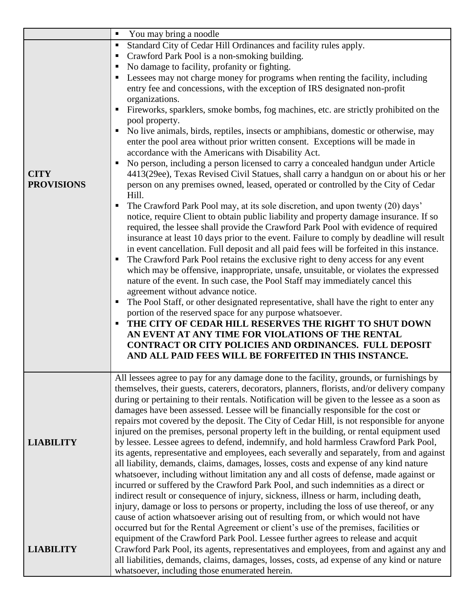|                                  | You may bring a noodle<br>$\blacksquare$                                                                                                                                                                                                                                                                                                                                                                                                                                                                                                                                                                                                                                                                                                                                                                                                                                                                                                                                                                                                                                                                                                                                                                                                                                                                                                                                                                                                                                                                                                                                                                                                                                                                                                                                                                                                                                                                                                                                                                                                                                                                                                                            |
|----------------------------------|---------------------------------------------------------------------------------------------------------------------------------------------------------------------------------------------------------------------------------------------------------------------------------------------------------------------------------------------------------------------------------------------------------------------------------------------------------------------------------------------------------------------------------------------------------------------------------------------------------------------------------------------------------------------------------------------------------------------------------------------------------------------------------------------------------------------------------------------------------------------------------------------------------------------------------------------------------------------------------------------------------------------------------------------------------------------------------------------------------------------------------------------------------------------------------------------------------------------------------------------------------------------------------------------------------------------------------------------------------------------------------------------------------------------------------------------------------------------------------------------------------------------------------------------------------------------------------------------------------------------------------------------------------------------------------------------------------------------------------------------------------------------------------------------------------------------------------------------------------------------------------------------------------------------------------------------------------------------------------------------------------------------------------------------------------------------------------------------------------------------------------------------------------------------|
| <b>CITY</b><br><b>PROVISIONS</b> | Standard City of Cedar Hill Ordinances and facility rules apply.<br>п<br>Crawford Park Pool is a non-smoking building.<br>п<br>No damage to facility, profanity or fighting.<br>$\blacksquare$<br>Lessees may not charge money for programs when renting the facility, including<br>entry fee and concessions, with the exception of IRS designated non-profit<br>organizations.<br>Fireworks, sparklers, smoke bombs, fog machines, etc. are strictly prohibited on the<br>pool property.<br>No live animals, birds, reptiles, insects or amphibians, domestic or otherwise, may<br>enter the pool area without prior written consent. Exceptions will be made in<br>accordance with the Americans with Disability Act.<br>No person, including a person licensed to carry a concealed handgun under Article<br>Е<br>4413(29ee), Texas Revised Civil Statues, shall carry a handgun on or about his or her<br>person on any premises owned, leased, operated or controlled by the City of Cedar<br>Hill.<br>The Crawford Park Pool may, at its sole discretion, and upon twenty (20) days'<br>notice, require Client to obtain public liability and property damage insurance. If so<br>required, the lessee shall provide the Crawford Park Pool with evidence of required<br>insurance at least 10 days prior to the event. Failure to comply by deadline will result<br>in event cancellation. Full deposit and all paid fees will be forfeited in this instance.<br>The Crawford Park Pool retains the exclusive right to deny access for any event<br>which may be offensive, inappropriate, unsafe, unsuitable, or violates the expressed<br>nature of the event. In such case, the Pool Staff may immediately cancel this<br>agreement without advance notice.<br>The Pool Staff, or other designated representative, shall have the right to enter any<br>п<br>portion of the reserved space for any purpose whatsoever.<br>THE CITY OF CEDAR HILL RESERVES THE RIGHT TO SHUT DOWN<br>AN EVENT AT ANY TIME FOR VIOLATIONS OF THE RENTAL<br>CONTRACT OR CITY POLICIES AND ORDINANCES. FULL DEPOSIT<br>AND ALL PAID FEES WILL BE FORFEITED IN THIS INSTANCE. |
| <b>LIABILITY</b>                 | All lessees agree to pay for any damage done to the facility, grounds, or furnishings by<br>themselves, their guests, caterers, decorators, planners, florists, and/or delivery company<br>during or pertaining to their rentals. Notification will be given to the lessee as a soon as<br>damages have been assessed. Lessee will be financially responsible for the cost or<br>repairs mot covered by the deposit. The City of Cedar Hill, is not responsible for anyone<br>injured on the premises, personal property left in the building, or rental equipment used<br>by lessee. Lessee agrees to defend, indemnify, and hold harmless Crawford Park Pool,<br>its agents, representative and employees, each severally and separately, from and against<br>all liability, demands, claims, damages, losses, costs and expense of any kind nature<br>whatsoever, including without limitation any and all costs of defense, made against or<br>incurred or suffered by the Crawford Park Pool, and such indemnities as a direct or<br>indirect result or consequence of injury, sickness, illness or harm, including death,<br>injury, damage or loss to persons or property, including the loss of use thereof, or any                                                                                                                                                                                                                                                                                                                                                                                                                                                                                                                                                                                                                                                                                                                                                                                                                                                                                                                                         |
| <b>LIABILITY</b>                 | cause of action whatsoever arising out of resulting from, or which would not have<br>occurred but for the Rental Agreement or client's use of the premises, facilities or<br>equipment of the Crawford Park Pool. Lessee further agrees to release and acquit<br>Crawford Park Pool, its agents, representatives and employees, from and against any and<br>all liabilities, demands, claims, damages, losses, costs, ad expense of any kind or nature<br>whatsoever, including those enumerated herein.                                                                                                                                                                                                                                                                                                                                                                                                                                                                                                                                                                                                                                                                                                                                                                                                                                                                                                                                                                                                                                                                                                                                                                                                                                                                                                                                                                                                                                                                                                                                                                                                                                                            |